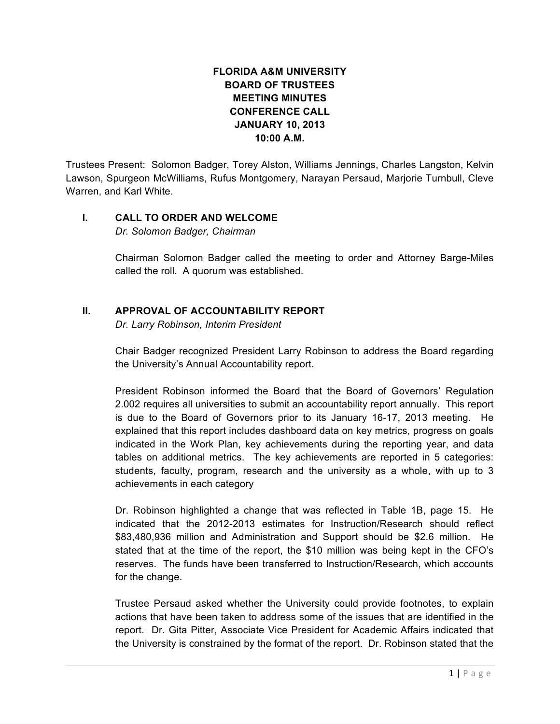## **FLORIDA A&M UNIVERSITY BOARD OF TRUSTEES MEETING MINUTES CONFERENCE CALL JANUARY 10, 2013 10:00 A.M.**

Trustees Present: Solomon Badger, Torey Alston, Williams Jennings, Charles Langston, Kelvin Lawson, Spurgeon McWilliams, Rufus Montgomery, Narayan Persaud, Marjorie Turnbull, Cleve Warren, and Karl White.

## **I. CALL TO ORDER AND WELCOME**

*Dr. Solomon Badger, Chairman*

Chairman Solomon Badger called the meeting to order and Attorney Barge-Miles called the roll. A quorum was established.

## **II. APPROVAL OF ACCOUNTABILITY REPORT**

*Dr. Larry Robinson, Interim President*

Chair Badger recognized President Larry Robinson to address the Board regarding the University's Annual Accountability report.

President Robinson informed the Board that the Board of Governors' Regulation 2.002 requires all universities to submit an accountability report annually. This report is due to the Board of Governors prior to its January 16-17, 2013 meeting. He explained that this report includes dashboard data on key metrics, progress on goals indicated in the Work Plan, key achievements during the reporting year, and data tables on additional metrics. The key achievements are reported in 5 categories: students, faculty, program, research and the university as a whole, with up to 3 achievements in each category

Dr. Robinson highlighted a change that was reflected in Table 1B, page 15. He indicated that the 2012-2013 estimates for Instruction/Research should reflect \$83,480,936 million and Administration and Support should be \$2.6 million. He stated that at the time of the report, the \$10 million was being kept in the CFO's reserves. The funds have been transferred to Instruction/Research, which accounts for the change.

Trustee Persaud asked whether the University could provide footnotes, to explain actions that have been taken to address some of the issues that are identified in the report. Dr. Gita Pitter, Associate Vice President for Academic Affairs indicated that the University is constrained by the format of the report. Dr. Robinson stated that the